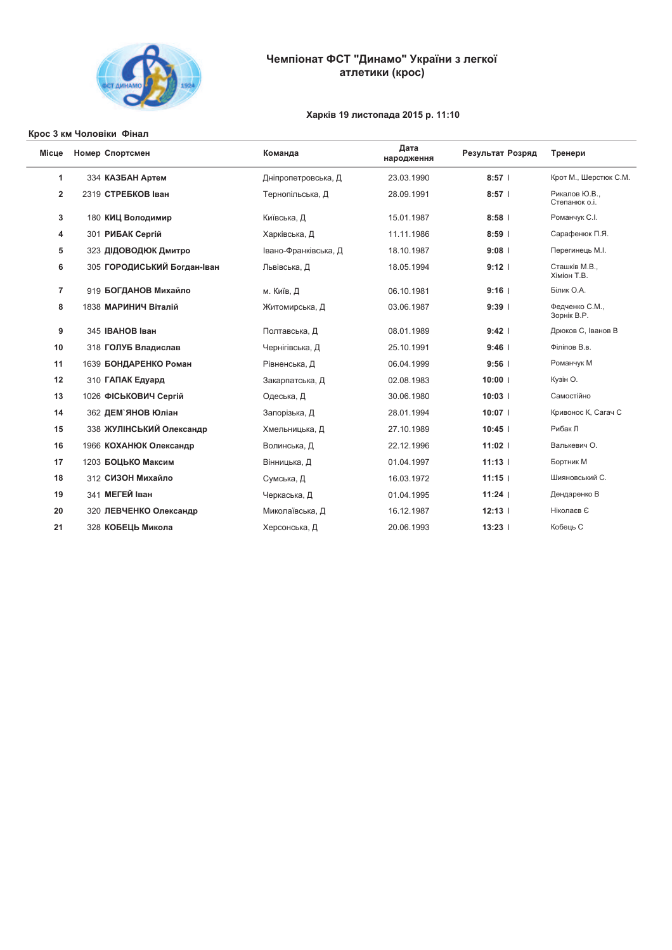

# Чемпіонат ФСТ "Динамо" України з легкої<br>атлетики (крос)

## Харків 19 листопада 2015 р. 11:10

#### Крос 3 км Чоловіки Фінал

| Місце          | Номер Спортсмен             | Команда              | Дата<br>народження | Результат Розряд | Тренери                       |
|----------------|-----------------------------|----------------------|--------------------|------------------|-------------------------------|
| 1              | 334 КАЗБАН Артем            | Дніпропетровська, Д  | 23.03.1990         | $8:57$           | Крот М., Шерстюк С.М.         |
| $\overline{2}$ | 2319 СТРЕБКОВ Іван          | Тернопільська, Д     | 28.09.1991         | $8:57$           | Рикалов Ю.В.,<br>Степанюко.і. |
| 3              | 180 КИЦ Володимир           | Київська, Д          | 15.01.1987         | $8:58$           | Романчук С.І.                 |
| 4              | 301 РИБАК Сергій            | Харківська, Д        | 11.11.1986         | $8:59$           | Сарафенюк П.Я.                |
| 5              | 323 ДІДОВОДЮК Дмитро        | Івано-Франківська, Д | 18.10.1987         | 9:08             | Перегинець М.І.               |
| 6              | 305 ГОРОДИСЬКИЙ Богдан-Іван | Львівська, Д         | 18.05.1994         | 9:12             | Сташків М.В.,<br>Хіміон Т.В.  |
| $\overline{7}$ | 919 БОГДАНОВ Михайло        | м. Київ, Д           | 06.10.1981         | $9:16$           | Білик О.А.                    |
| 8              | 1838 МАРИНИЧ Віталій        | Житомирська, Д       | 03.06.1987         | $9:39$           | Федченко С.М.,<br>Зорнік В.Р. |
| 9              | 345 IBAHOB Іван             | Полтавська, Д        | 08.01.1989         | $9:42$           | Дрюков С, Іванов В            |
| 10             | 318 ГОЛУБ Владислав         | Чернігівська, Д      | 25.10.1991         | 9:46             | Філіпов В.в.                  |
| 11             | 1639 БОНДАРЕНКО Роман       | Рівненська, Д        | 06.04.1999         | 9:56             | Романчук М                    |
| 12             | 310 ГАПАК Едуард            | Закарпатська, Д      | 02.08.1983         | $10:00$          | Кузін О.                      |
| 13             | 1026 ФІСЬКОВИЧ Сергій       | Одеська, Д           | 30.06.1980         | $10:03$          | Самостійно                    |
| 14             | 362 ДЕМ`ЯНОВ Юліан          | Запорізька, Д        | 28.01.1994         | $10:07$          | Кривонос К, Сагач С           |
| 15             | 338 ЖУЛІНСЬКИЙ Олександр    | Хмельницька, Д       | 27.10.1989         | 10:45            | Рибак Л                       |
| 16             | 1966 КОХАНЮК Олександр      | Волинська, Д         | 22.12.1996         | $11:02$          | Валькевич О.                  |
| 17             | 1203 БОЦЬКО Максим          | Вінницька, Д         | 01.04.1997         | $11:13$          | Бортник М                     |
| 18             | 312 СИЗОН Михайло           | Сумська, Д           | 16.03.1972         | $11:15$          | Шияновський С.                |
| 19             | 341 МЕГЕЙ Іван              | Черкаська, Д         | 01.04.1995         | 11:24            | Дендаренко В                  |
| 20             | 320 ЛЕВЧЕНКО Олександр      | Миколаївська, Д      | 16.12.1987         | 12:13            | Ніколаєв Є                    |
| 21             | 328 КОБЕЦЬ Микола           | Херсонська, Д        | 20.06.1993         | 13:23            | Кобець С                      |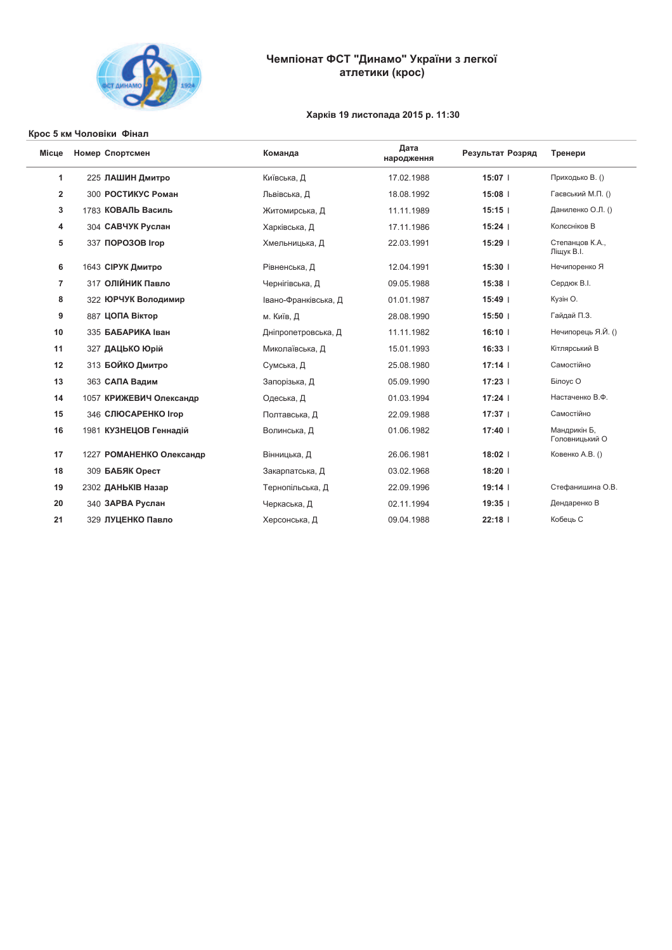

# Чемпіонат ФСТ "Динамо" України з легкої<br>атлетики (крос)

## Харків 19 листопада 2015 р. 11:30

#### Крос 5 км Чоловіки Фінал

| Місце          | Номер Спортсмен            | Команда              | Дата<br>народження | Результат Розряд | Тренери                        |
|----------------|----------------------------|----------------------|--------------------|------------------|--------------------------------|
| 1              | 225 ЛАШИН Дмитро           | Київська, Д          | 17.02.1988         | 15:07            | Приходько В. ()                |
| $\overline{2}$ | 300 РОСТИКУС Роман         | Львівська, Д         | 18.08.1992         | 15:08            | Гаєвський М.П. ()              |
| 3              | 1783 КОВАЛЬ Василь         | Житомирська, Д       | 11.11.1989         | 15:15            | Даниленко О.Л. ()              |
| 4              | 304 САВЧУК Руслан          | Харківська, Д        | 17.11.1986         | 15:24            | Колесніков В                   |
| 5              | 337 NOPO3OB Irop           | Хмельницька, Д       | 22.03.1991         | 15:29            | Степанцов К.А.,<br>Ліщук В.І.  |
| 6              | 1643 СІРУК Дмитро          | Рівненська, Д        | 12.04.1991         | $15:30$          | Нечипоренко Я                  |
| $\overline{7}$ | 317 ОЛІЙНИК Павло          | Чернігівська, Д      | 09.05.1988         | 15:38            | Сердюк В.І.                    |
| 8              | 322 ЮРЧУК Володимир        | Івано-Франківська, Д | 01.01.1987         | 15:49            | Кузін О.                       |
| 9              | 887 ЦОПА Віктор            | м. Київ, Д           | 28.08.1990         | $15:50$          | Гайдай П.З.                    |
| 10             | 335 БАБАРИКА Іван          | Дніпропетровська, Д  | 11.11.1982         | 16:10            | Нечипорець Я.Й. ()             |
| 11             | 327 ДАЦЬКО Юрій            | Миколаївська, Д      | 15.01.1993         | 16:33            | Кітлярський В                  |
| 12             | 313 БОЙКО Дмитро           | Сумська, Д           | 25.08.1980         | 17:14            | Самостійно                     |
| 13             | 363 САПА Вадим             | Запорізька, Д        | 05.09.1990         | 17:23            | Білоус О                       |
| 14             | 1057 КРИЖЕВИЧ Олександр    | Одеська, Д           | 01.03.1994         | 17:24            | Настаченко В.Ф.                |
| 15             | <b>346 СЛЮСАРЕНКО Ігор</b> | Полтавська, Д        | 22.09.1988         | 17:37            | Самостійно                     |
| 16             | 1981 КУЗНЕЦОВ Геннадій     | Волинська, Д         | 01.06.1982         | 17:40            | Мандрикін Б,<br>Головницький О |
| 17             | 1227 РОМАНЕНКО Олександр   | Вінницька, Д         | 26.06.1981         | 18:02            | Ковенко А.В. ()                |
| 18             | 309 БАБЯК Орест            | Закарпатська, Д      | 03.02.1968         | 18:20            |                                |
| 19             | 2302 ДАНЬКІВ Назар         | Тернопільська, Д     | 22.09.1996         | $19:14$          | Стефанишина О.В.               |
| 20             | 340 ЗАРВА Руслан           | Черкаська, Д         | 02.11.1994         | 19:35            | Дендаренко В                   |
| 21             | 329 ЛУЦЕНКО Павло          | Херсонська, Д        | 09.04.1988         | 22:18            | Кобець С                       |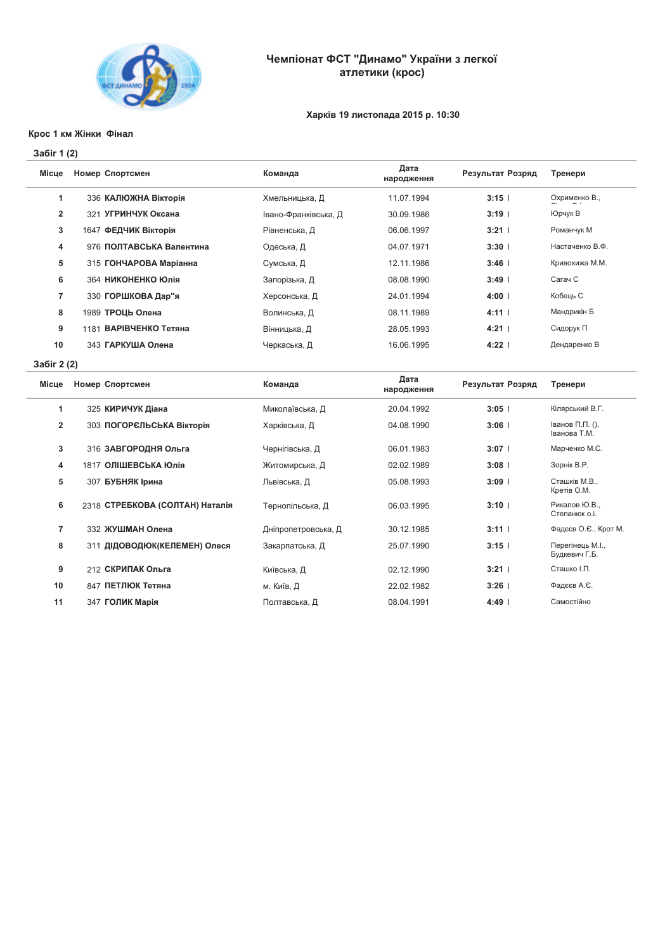

# Чемпіонат ФСТ "Динамо" України з легкої атлетики (крос)

## Харків 19 листопада 2015 р. 10:30

#### Крос 1 км Жінки Фінал

### 3a6ir 1 (2)

| Місце        | Номер Спортсмен          | Команда              | Дата<br>народження | Результат Розряд | Тренери         |
|--------------|--------------------------|----------------------|--------------------|------------------|-----------------|
|              | 336 КАЛЮЖНА Вікторія     | Хмельницька, Д       | 11.07.1994         | 3:15             | Охрименко В.,   |
| $\mathbf{2}$ | 321 УГРИНЧУК Оксана      | Івано-Франківська, Д | 30.09.1986         | $3:19$           | Юрчук В         |
| 3            | 1647 ФЕДЧИК Вікторія     | Рівненська, Д        | 06.06.1997         | $3:21$           | Романчук М      |
| 4            | 976 ПОЛТАВСЬКА Валентина | Одеська, Д           | 04.07.1971         | $3:30$           | Настаченко В.Ф. |
| 5            | 315 ГОНЧАРОВА Маріанна   | Сумська, Д           | 12.11.1986         | 3:46             | Кривохижа М.М.  |
| 6            | 364 НИКОНЕНКО Юлія       | Запорізька, Д        | 08.08.1990         | $3:49$           | Сагач С         |
| 7            | 330 ГОРШКОВА Дар"я       | Херсонська, Д        | 24.01.1994         | $4:00$           | Кобець С        |
| 8            | 1989 ТРОЦЬ Олена         | Волинська, Д         | 08.11.1989         | 4:11             | Мандрикін Б     |
| 9            | 1181 ВАРІВЧЕНКО Тетяна   | Вінницька, Д         | 28.05.1993         | $4:21$           | Сидорук П       |
| 10           | 343 ГАРКУША Олена        | Черкаська, Д         | 16.06.1995         | $4:22$           | Дендаренко В    |
|              |                          |                      |                    |                  |                 |

3a6ir 2 (2)

| Місце          | Номер Спортсмен                 | Команда             | Дата<br>народження | Результат Розряд | Тренери                           |
|----------------|---------------------------------|---------------------|--------------------|------------------|-----------------------------------|
| 1              | 325 КИРИЧУК Діана               | Миколаївська, Д     | 20.04.1992         | 3:05             | Кілярський В.Г.                   |
| $\overline{2}$ | 303 ПОГОРЄЛЬСЬКА Вікторія       | Харківська, Д       | 04.08.1990         | 3:06             | Іванов П.П. (),<br>Іванова Т.М.   |
| 3              | 316 ЗАВГОРОДНЯ Ольга            | Чернігівська, Д     | 06.01.1983         | 3:07             | Марченко М.С.                     |
| 4              | 1817 ОЛІШЕВСЬКА Юлія            | Житомирська, Д      | 02.02.1989         | 3:08             | Зорнік В.Р.                       |
| 5              | 307 БУБНЯК Ірина                | Львівська, Д        | 05.08.1993         | 3:09             | Сташків М.В.,<br>Кретів О.М.      |
| 6              | 2318 СТРЕБКОВА (СОЛТАН) Наталія | Тернопільська, Д    | 06.03.1995         | $3:10$           | Рикалов Ю.В.,<br>Степанюко.і.     |
| 7              | 332 ЖУШМАН Олена                | Дніпропетровська, Д | 30.12.1985         | 3:11             | Фадєєв О.Є., Крот М.              |
| 8              | 311 ДІДОВОДЮК(КЕЛЕМЕН) Олеся    | Закарпатська, Д     | 25.07.1990         | 3:15             | Перегінець М.І.,<br>Будкевич Г.Б. |
| 9              | 212 СКРИПАК Ольга               | Київська, Д         | 02.12.1990         | 3:21             | Сташко І.П.                       |
| 10             | 847 ПЕТЛЮК Тетяна               | м. Київ, Д          | 22.02.1982         | 3:26             | Фадєєв А.Є.                       |
| 11             | 347 ГОЛИК Марія                 | Полтавська, Д       | 08.04.1991         | 4:49             | Самостійно                        |